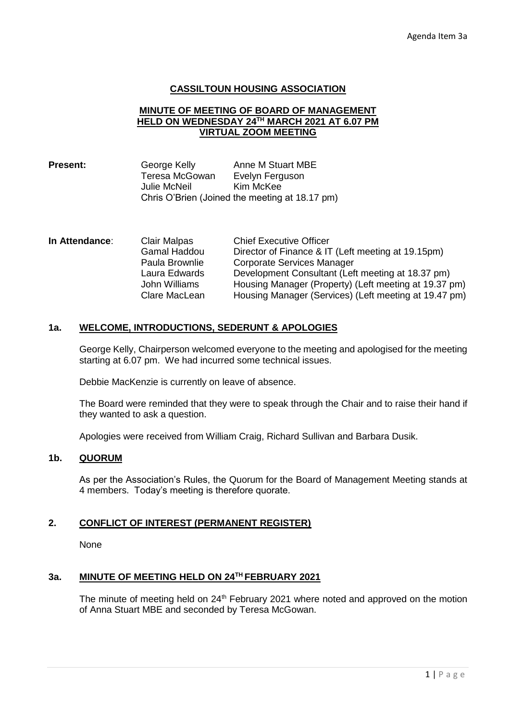## **CASSILTOUN HOUSING ASSOCIATION**

### **MINUTE OF MEETING OF BOARD OF MANAGEMENT HELD ON WEDNESDAY 24TH MARCH 2021 AT 6.07 PM VIRTUAL ZOOM MEETING**

| <b>Present:</b> | George Kelly   | Anne M Stuart MBE                              |
|-----------------|----------------|------------------------------------------------|
|                 | Teresa McGowan | Evelyn Ferguson                                |
|                 | Julie McNeil   | Kim McKee                                      |
|                 |                | Chris O'Brien (Joined the meeting at 18.17 pm) |

| In Attendance: | Clair Malpas   | <b>Chief Executive Officer</b>                        |
|----------------|----------------|-------------------------------------------------------|
|                | Gamal Haddou   | Director of Finance & IT (Left meeting at 19.15pm)    |
|                | Paula Brownlie | Corporate Services Manager                            |
|                | Laura Edwards  | Development Consultant (Left meeting at 18.37 pm)     |
|                | John Williams  | Housing Manager (Property) (Left meeting at 19.37 pm) |
|                | Clare MacLean  | Housing Manager (Services) (Left meeting at 19.47 pm) |

### **1a. WELCOME, INTRODUCTIONS, SEDERUNT & APOLOGIES**

George Kelly, Chairperson welcomed everyone to the meeting and apologised for the meeting starting at 6.07 pm. We had incurred some technical issues.

Debbie MacKenzie is currently on leave of absence.

The Board were reminded that they were to speak through the Chair and to raise their hand if they wanted to ask a question.

Apologies were received from William Craig, Richard Sullivan and Barbara Dusik.

## **1b. QUORUM**

As per the Association's Rules, the Quorum for the Board of Management Meeting stands at 4 members. Today's meeting is therefore quorate.

## **2. CONFLICT OF INTEREST (PERMANENT REGISTER)**

None

## **3a. MINUTE OF MEETING HELD ON 24TH FEBRUARY 2021**

The minute of meeting held on  $24<sup>th</sup>$  February 2021 where noted and approved on the motion of Anna Stuart MBE and seconded by Teresa McGowan.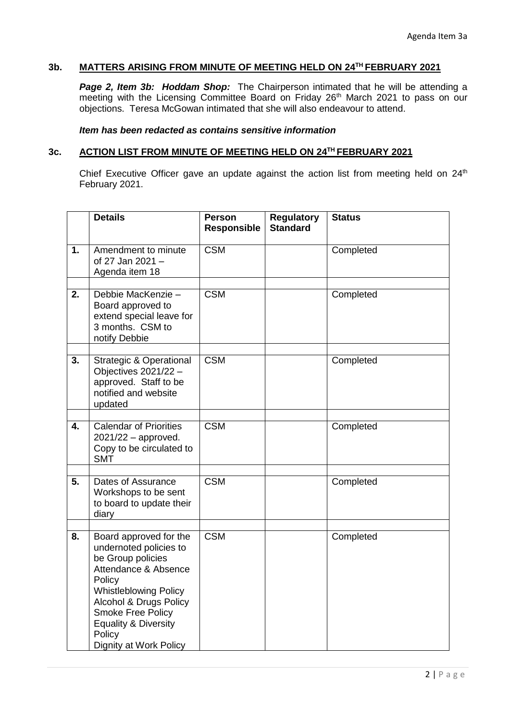# **3b. MATTERS ARISING FROM MINUTE OF MEETING HELD ON 24TH FEBRUARY 2021**

*Page 2, Item 3b: Hoddam Shop:* The Chairperson intimated that he will be attending a meeting with the Licensing Committee Board on Friday 26<sup>th</sup> March 2021 to pass on our objections. Teresa McGowan intimated that she will also endeavour to attend.

#### *Item has been redacted as contains sensitive information*

#### **3c. ACTION LIST FROM MINUTE OF MEETING HELD ON 24TH FEBRUARY 2021**

Chief Executive Officer gave an update against the action list from meeting held on  $24<sup>th</sup>$ February 2021.

|    | <b>Details</b>                                                                                                                                                                                                                                                       | <b>Person</b><br><b>Responsible</b> | <b>Regulatory</b><br><b>Standard</b> | <b>Status</b> |
|----|----------------------------------------------------------------------------------------------------------------------------------------------------------------------------------------------------------------------------------------------------------------------|-------------------------------------|--------------------------------------|---------------|
| 1. | Amendment to minute<br>of 27 Jan 2021 -<br>Agenda item 18                                                                                                                                                                                                            | <b>CSM</b>                          |                                      | Completed     |
| 2. | Debbie MacKenzie -<br>Board approved to<br>extend special leave for<br>3 months. CSM to<br>notify Debbie                                                                                                                                                             | <b>CSM</b>                          |                                      | Completed     |
| 3. | <b>Strategic &amp; Operational</b><br>Objectives 2021/22 -<br>approved. Staff to be<br>notified and website<br>updated                                                                                                                                               | <b>CSM</b>                          |                                      | Completed     |
| 4. | <b>Calendar of Priorities</b><br>$2021/22$ – approved.<br>Copy to be circulated to<br><b>SMT</b>                                                                                                                                                                     | <b>CSM</b>                          |                                      | Completed     |
| 5. | Dates of Assurance<br>Workshops to be sent<br>to board to update their<br>diary                                                                                                                                                                                      | <b>CSM</b>                          |                                      | Completed     |
| 8. | Board approved for the<br>undernoted policies to<br>be Group policies<br>Attendance & Absence<br>Policy<br><b>Whistleblowing Policy</b><br>Alcohol & Drugs Policy<br><b>Smoke Free Policy</b><br><b>Equality &amp; Diversity</b><br>Policy<br>Dignity at Work Policy | <b>CSM</b>                          |                                      | Completed     |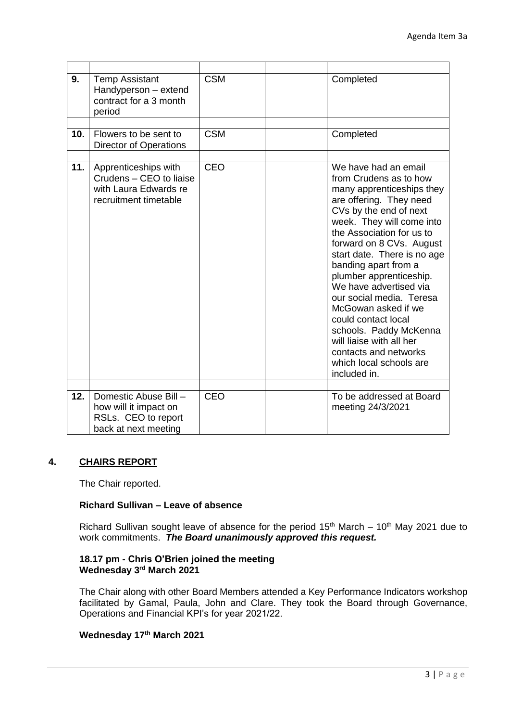| 9.  | <b>Temp Assistant</b><br>Handyperson - extend<br>contract for a 3 month<br>period                 | <b>CSM</b> | Completed                                                                                                                                                                                                                                                                                                                                                                                                                                                                                                                              |
|-----|---------------------------------------------------------------------------------------------------|------------|----------------------------------------------------------------------------------------------------------------------------------------------------------------------------------------------------------------------------------------------------------------------------------------------------------------------------------------------------------------------------------------------------------------------------------------------------------------------------------------------------------------------------------------|
|     |                                                                                                   |            |                                                                                                                                                                                                                                                                                                                                                                                                                                                                                                                                        |
| 10. | Flowers to be sent to<br><b>Director of Operations</b>                                            | <b>CSM</b> | Completed                                                                                                                                                                                                                                                                                                                                                                                                                                                                                                                              |
|     |                                                                                                   |            |                                                                                                                                                                                                                                                                                                                                                                                                                                                                                                                                        |
| 11. | Apprenticeships with<br>Crudens - CEO to liaise<br>with Laura Edwards re<br>recruitment timetable | CEO        | We have had an email<br>from Crudens as to how<br>many apprenticeships they<br>are offering. They need<br>CVs by the end of next<br>week. They will come into<br>the Association for us to<br>forward on 8 CVs. August<br>start date. There is no age<br>banding apart from a<br>plumber apprenticeship.<br>We have advertised via<br>our social media. Teresa<br>McGowan asked if we<br>could contact local<br>schools. Paddy McKenna<br>will liaise with all her<br>contacts and networks<br>which local schools are<br>included in. |
|     |                                                                                                   |            |                                                                                                                                                                                                                                                                                                                                                                                                                                                                                                                                        |
| 12. | Domestic Abuse Bill -<br>how will it impact on<br>RSLs. CEO to report<br>back at next meeting     | CEO        | To be addressed at Board<br>meeting 24/3/2021                                                                                                                                                                                                                                                                                                                                                                                                                                                                                          |

## **4. CHAIRS REPORT**

The Chair reported.

## **Richard Sullivan – Leave of absence**

Richard Sullivan sought leave of absence for the period  $15<sup>th</sup>$  March –  $10<sup>th</sup>$  May 2021 due to work commitments. *The Board unanimously approved this request.*

## **18.17 pm - Chris O'Brien joined the meeting Wednesday 3rd March 2021**

The Chair along with other Board Members attended a Key Performance Indicators workshop facilitated by Gamal, Paula, John and Clare. They took the Board through Governance, Operations and Financial KPI's for year 2021/22.

# **Wednesday 17th March 2021**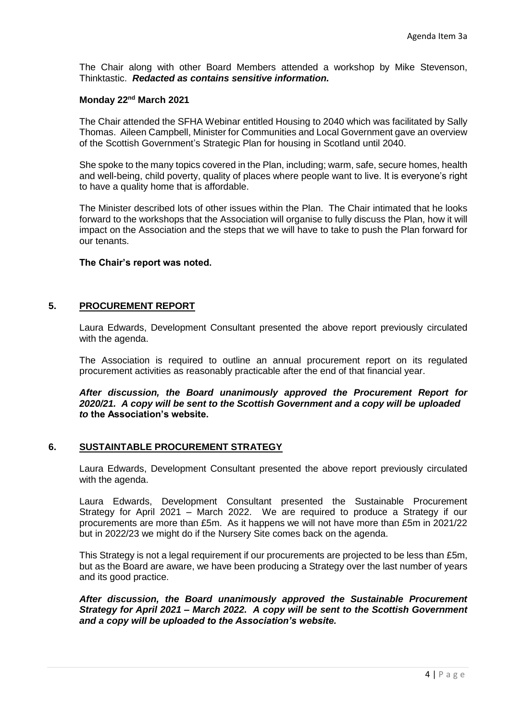The Chair along with other Board Members attended a workshop by Mike Stevenson, Thinktastic. *Redacted as contains sensitive information.*

### **Monday 22nd March 2021**

The Chair attended the SFHA Webinar entitled Housing to 2040 which was facilitated by Sally Thomas. Aileen Campbell, Minister for Communities and Local Government gave an overview of the Scottish Government's Strategic Plan for housing in Scotland until 2040.

She spoke to the many topics covered in the Plan, including; warm, safe, secure homes, health and well-being, child poverty, quality of places where people want to live. It is everyone's right to have a quality home that is affordable.

The Minister described lots of other issues within the Plan. The Chair intimated that he looks forward to the workshops that the Association will organise to fully discuss the Plan, how it will impact on the Association and the steps that we will have to take to push the Plan forward for our tenants.

### **The Chair's report was noted.**

## **5. PROCUREMENT REPORT**

Laura Edwards, Development Consultant presented the above report previously circulated with the agenda.

The Association is required to outline an annual procurement report on its regulated procurement activities as reasonably practicable after the end of that financial year.

*After discussion, the Board unanimously approved the Procurement Report for 2020/21. A copy will be sent to the Scottish Government and a copy will be uploaded to* **the Association's website.** 

## **6. SUSTAINTABLE PROCUREMENT STRATEGY**

Laura Edwards, Development Consultant presented the above report previously circulated with the agenda.

Laura Edwards, Development Consultant presented the Sustainable Procurement Strategy for April 2021 – March 2022. We are required to produce a Strategy if our procurements are more than £5m. As it happens we will not have more than £5m in 2021/22 but in 2022/23 we might do if the Nursery Site comes back on the agenda.

This Strategy is not a legal requirement if our procurements are projected to be less than £5m, but as the Board are aware, we have been producing a Strategy over the last number of years and its good practice.

*After discussion, the Board unanimously approved the Sustainable Procurement Strategy for April 2021 – March 2022. A copy will be sent to the Scottish Government and a copy will be uploaded to the Association's website.*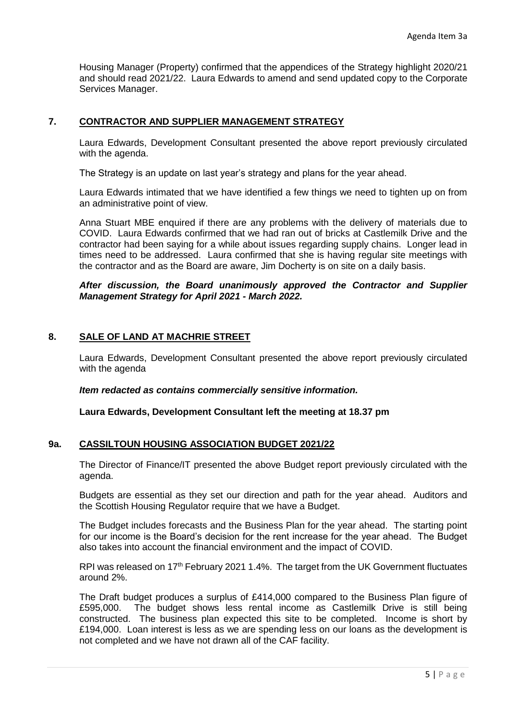Housing Manager (Property) confirmed that the appendices of the Strategy highlight 2020/21 and should read 2021/22. Laura Edwards to amend and send updated copy to the Corporate Services Manager.

# **7. CONTRACTOR AND SUPPLIER MANAGEMENT STRATEGY**

Laura Edwards, Development Consultant presented the above report previously circulated with the agenda.

The Strategy is an update on last year's strategy and plans for the year ahead.

Laura Edwards intimated that we have identified a few things we need to tighten up on from an administrative point of view.

Anna Stuart MBE enquired if there are any problems with the delivery of materials due to COVID. Laura Edwards confirmed that we had ran out of bricks at Castlemilk Drive and the contractor had been saying for a while about issues regarding supply chains. Longer lead in times need to be addressed. Laura confirmed that she is having regular site meetings with the contractor and as the Board are aware, Jim Docherty is on site on a daily basis.

### *After discussion, the Board unanimously approved the Contractor and Supplier Management Strategy for April 2021 - March 2022.*

## **8. SALE OF LAND AT MACHRIE STREET**

Laura Edwards, Development Consultant presented the above report previously circulated with the agenda

*Item redacted as contains commercially sensitive information.*

**Laura Edwards, Development Consultant left the meeting at 18.37 pm**

## **9a. CASSILTOUN HOUSING ASSOCIATION BUDGET 2021/22**

The Director of Finance/IT presented the above Budget report previously circulated with the agenda.

Budgets are essential as they set our direction and path for the year ahead. Auditors and the Scottish Housing Regulator require that we have a Budget.

The Budget includes forecasts and the Business Plan for the year ahead. The starting point for our income is the Board's decision for the rent increase for the year ahead. The Budget also takes into account the financial environment and the impact of COVID.

RPI was released on 17<sup>th</sup> February 2021 1.4%. The target from the UK Government fluctuates around 2%.

The Draft budget produces a surplus of £414,000 compared to the Business Plan figure of £595,000. The budget shows less rental income as Castlemilk Drive is still being constructed. The business plan expected this site to be completed. Income is short by £194,000. Loan interest is less as we are spending less on our loans as the development is not completed and we have not drawn all of the CAF facility.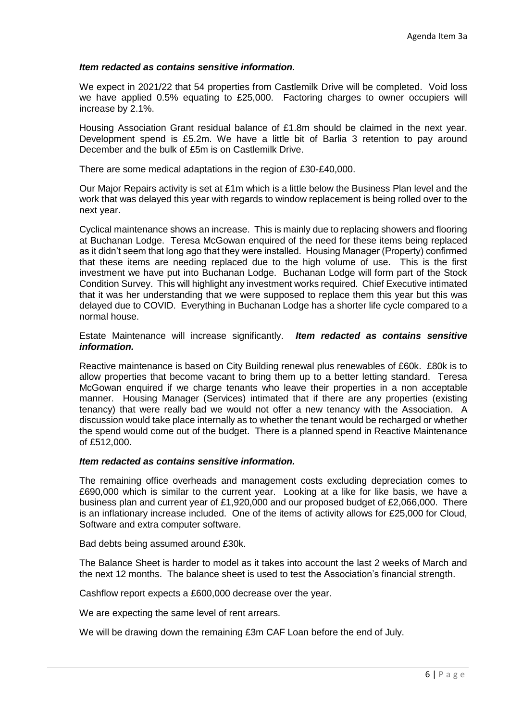### *Item redacted as contains sensitive information.*

We expect in 2021/22 that 54 properties from Castlemilk Drive will be completed. Void loss we have applied 0.5% equating to £25,000. Factoring charges to owner occupiers will increase by 2.1%.

Housing Association Grant residual balance of £1.8m should be claimed in the next year. Development spend is £5.2m. We have a little bit of Barlia 3 retention to pay around December and the bulk of £5m is on Castlemilk Drive.

There are some medical adaptations in the region of £30-£40,000.

Our Major Repairs activity is set at £1m which is a little below the Business Plan level and the work that was delayed this year with regards to window replacement is being rolled over to the next year.

Cyclical maintenance shows an increase. This is mainly due to replacing showers and flooring at Buchanan Lodge. Teresa McGowan enquired of the need for these items being replaced as it didn't seem that long ago that they were installed. Housing Manager (Property) confirmed that these items are needing replaced due to the high volume of use. This is the first investment we have put into Buchanan Lodge. Buchanan Lodge will form part of the Stock Condition Survey. This will highlight any investment works required. Chief Executive intimated that it was her understanding that we were supposed to replace them this year but this was delayed due to COVID. Everything in Buchanan Lodge has a shorter life cycle compared to a normal house.

Estate Maintenance will increase significantly. *Item redacted as contains sensitive information.*

Reactive maintenance is based on City Building renewal plus renewables of £60k. £80k is to allow properties that become vacant to bring them up to a better letting standard. Teresa McGowan enquired if we charge tenants who leave their properties in a non acceptable manner. Housing Manager (Services) intimated that if there are any properties (existing tenancy) that were really bad we would not offer a new tenancy with the Association. A discussion would take place internally as to whether the tenant would be recharged or whether the spend would come out of the budget. There is a planned spend in Reactive Maintenance of £512,000.

#### *Item redacted as contains sensitive information.*

The remaining office overheads and management costs excluding depreciation comes to £690,000 which is similar to the current year. Looking at a like for like basis, we have a business plan and current year of £1,920,000 and our proposed budget of £2,066,000. There is an inflationary increase included. One of the items of activity allows for £25,000 for Cloud, Software and extra computer software.

Bad debts being assumed around £30k.

The Balance Sheet is harder to model as it takes into account the last 2 weeks of March and the next 12 months. The balance sheet is used to test the Association's financial strength.

Cashflow report expects a £600,000 decrease over the year.

We are expecting the same level of rent arrears.

We will be drawing down the remaining £3m CAF Loan before the end of July.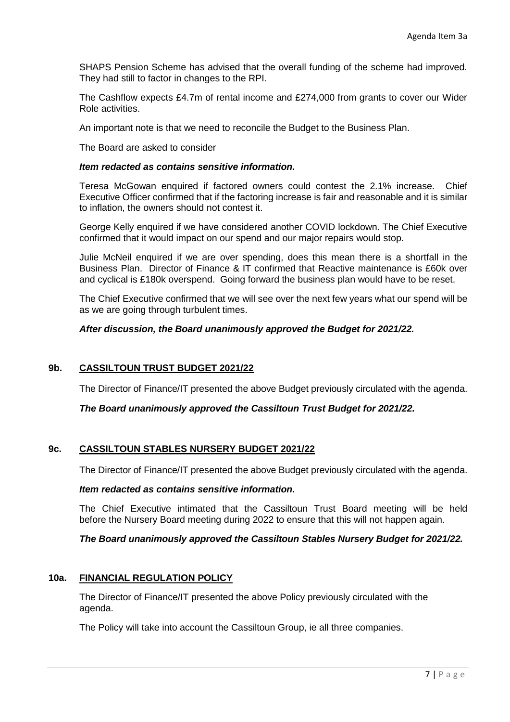SHAPS Pension Scheme has advised that the overall funding of the scheme had improved. They had still to factor in changes to the RPI.

The Cashflow expects £4.7m of rental income and £274,000 from grants to cover our Wider Role activities.

An important note is that we need to reconcile the Budget to the Business Plan.

The Board are asked to consider

### *Item redacted as contains sensitive information.*

Teresa McGowan enquired if factored owners could contest the 2.1% increase. Chief Executive Officer confirmed that if the factoring increase is fair and reasonable and it is similar to inflation, the owners should not contest it.

George Kelly enquired if we have considered another COVID lockdown. The Chief Executive confirmed that it would impact on our spend and our major repairs would stop.

Julie McNeil enquired if we are over spending, does this mean there is a shortfall in the Business Plan. Director of Finance & IT confirmed that Reactive maintenance is £60k over and cyclical is £180k overspend. Going forward the business plan would have to be reset.

The Chief Executive confirmed that we will see over the next few years what our spend will be as we are going through turbulent times.

## *After discussion, the Board unanimously approved the Budget for 2021/22.*

## **9b. CASSILTOUN TRUST BUDGET 2021/22**

The Director of Finance/IT presented the above Budget previously circulated with the agenda.

## *The Board unanimously approved the Cassiltoun Trust Budget for 2021/22.*

## **9c. CASSILTOUN STABLES NURSERY BUDGET 2021/22**

The Director of Finance/IT presented the above Budget previously circulated with the agenda.

#### *Item redacted as contains sensitive information.*

The Chief Executive intimated that the Cassiltoun Trust Board meeting will be held before the Nursery Board meeting during 2022 to ensure that this will not happen again.

## *The Board unanimously approved the Cassiltoun Stables Nursery Budget for 2021/22.*

#### **10a. FINANCIAL REGULATION POLICY**

The Director of Finance/IT presented the above Policy previously circulated with the agenda.

The Policy will take into account the Cassiltoun Group, ie all three companies.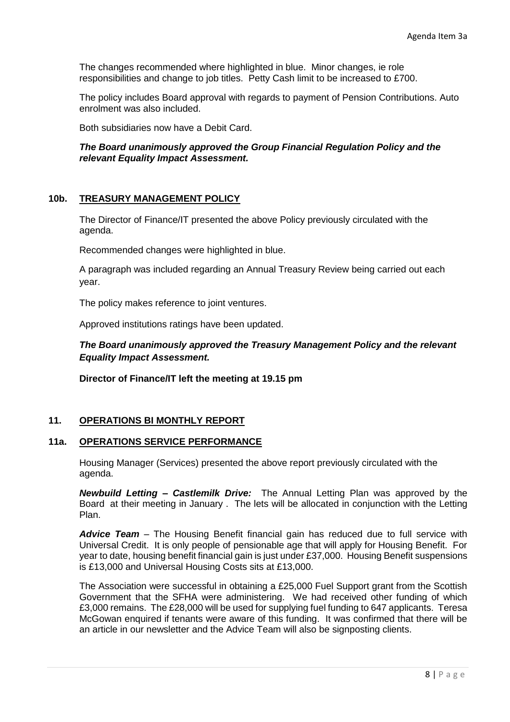The changes recommended where highlighted in blue. Minor changes, ie role responsibilities and change to job titles. Petty Cash limit to be increased to £700.

The policy includes Board approval with regards to payment of Pension Contributions. Auto enrolment was also included.

Both subsidiaries now have a Debit Card.

## *The Board unanimously approved the Group Financial Regulation Policy and the relevant Equality Impact Assessment.*

# **10b. TREASURY MANAGEMENT POLICY**

The Director of Finance/IT presented the above Policy previously circulated with the agenda.

Recommended changes were highlighted in blue.

A paragraph was included regarding an Annual Treasury Review being carried out each year.

The policy makes reference to joint ventures.

Approved institutions ratings have been updated.

*The Board unanimously approved the Treasury Management Policy and the relevant Equality Impact Assessment.*

**Director of Finance/IT left the meeting at 19.15 pm**

## **11. OPERATIONS BI MONTHLY REPORT**

## **11a. OPERATIONS SERVICE PERFORMANCE**

Housing Manager (Services) presented the above report previously circulated with the agenda.

*Newbuild Letting – Castlemilk Drive:* The Annual Letting Plan was approved by the Board at their meeting in January . The lets will be allocated in conjunction with the Letting Plan.

*Advice Team* – The Housing Benefit financial gain has reduced due to full service with Universal Credit. It is only people of pensionable age that will apply for Housing Benefit. For year to date, housing benefit financial gain is just under £37,000. Housing Benefit suspensions is £13,000 and Universal Housing Costs sits at £13,000.

The Association were successful in obtaining a £25,000 Fuel Support grant from the Scottish Government that the SFHA were administering. We had received other funding of which £3,000 remains. The £28,000 will be used for supplying fuel funding to 647 applicants. Teresa McGowan enquired if tenants were aware of this funding. It was confirmed that there will be an article in our newsletter and the Advice Team will also be signposting clients.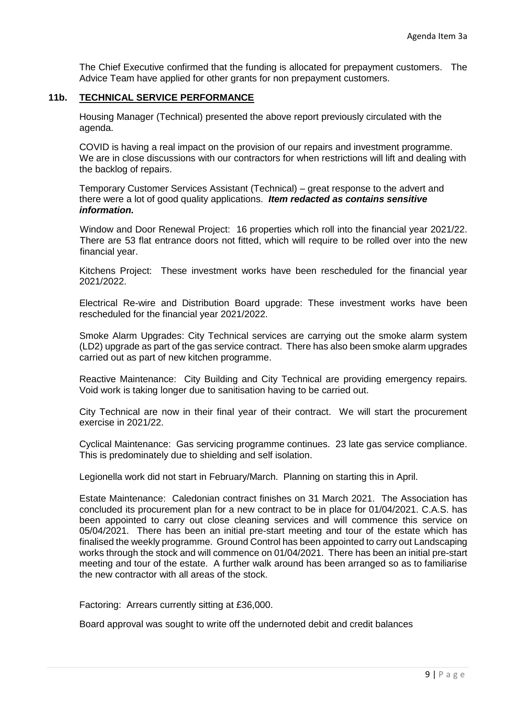The Chief Executive confirmed that the funding is allocated for prepayment customers. The Advice Team have applied for other grants for non prepayment customers.

## **11b. TECHNICAL SERVICE PERFORMANCE**

Housing Manager (Technical) presented the above report previously circulated with the agenda.

COVID is having a real impact on the provision of our repairs and investment programme. We are in close discussions with our contractors for when restrictions will lift and dealing with the backlog of repairs.

Temporary Customer Services Assistant (Technical) – great response to the advert and there were a lot of good quality applications. *Item redacted as contains sensitive information.*

Window and Door Renewal Project: 16 properties which roll into the financial year 2021/22. There are 53 flat entrance doors not fitted, which will require to be rolled over into the new financial year.

Kitchens Project: These investment works have been rescheduled for the financial year 2021/2022.

Electrical Re-wire and Distribution Board upgrade: These investment works have been rescheduled for the financial year 2021/2022.

Smoke Alarm Upgrades: City Technical services are carrying out the smoke alarm system (LD2) upgrade as part of the gas service contract. There has also been smoke alarm upgrades carried out as part of new kitchen programme.

Reactive Maintenance: City Building and City Technical are providing emergency repairs. Void work is taking longer due to sanitisation having to be carried out.

City Technical are now in their final year of their contract. We will start the procurement exercise in 2021/22.

Cyclical Maintenance: Gas servicing programme continues. 23 late gas service compliance. This is predominately due to shielding and self isolation.

Legionella work did not start in February/March. Planning on starting this in April.

Estate Maintenance: Caledonian contract finishes on 31 March 2021. The Association has concluded its procurement plan for a new contract to be in place for 01/04/2021. C.A.S. has been appointed to carry out close cleaning services and will commence this service on 05/04/2021. There has been an initial pre-start meeting and tour of the estate which has finalised the weekly programme. Ground Control has been appointed to carry out Landscaping works through the stock and will commence on 01/04/2021. There has been an initial pre-start meeting and tour of the estate. A further walk around has been arranged so as to familiarise the new contractor with all areas of the stock.

Factoring: Arrears currently sitting at £36,000.

Board approval was sought to write off the undernoted debit and credit balances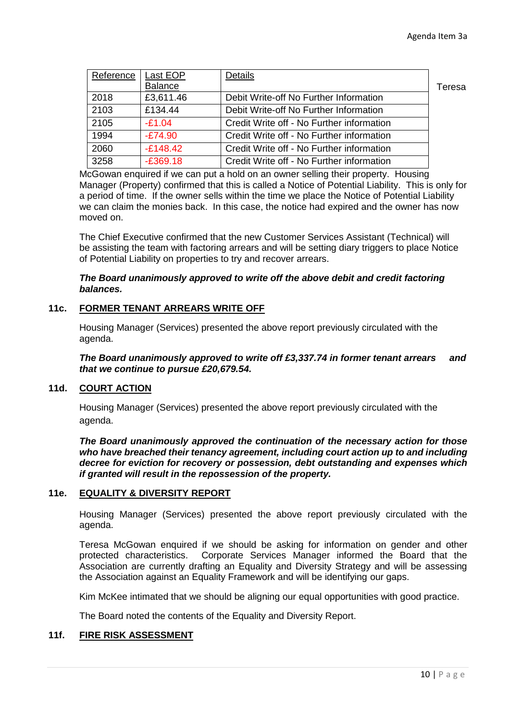| Reference | Last EOP       | Details                                   |        |
|-----------|----------------|-------------------------------------------|--------|
|           | <b>Balance</b> |                                           | Teresa |
| 2018      | £3,611.46      | Debit Write-off No Further Information    |        |
| 2103      | £134.44        | Debit Write-off No Further Information    |        |
| 2105      | $-E1.04$       | Credit Write off - No Further information |        |
| 1994      | $-E74.90$      | Credit Write off - No Further information |        |
| 2060      | $-£148.42$     | Credit Write off - No Further information |        |
| 3258      | $-E369.18$     | Credit Write off - No Further information |        |

McGowan enquired if we can put a hold on an owner selling their property. Housing Manager (Property) confirmed that this is called a Notice of Potential Liability. This is only for a period of time. If the owner sells within the time we place the Notice of Potential Liability we can claim the monies back. In this case, the notice had expired and the owner has now moved on.

The Chief Executive confirmed that the new Customer Services Assistant (Technical) will be assisting the team with factoring arrears and will be setting diary triggers to place Notice of Potential Liability on properties to try and recover arrears.

## *The Board unanimously approved to write off the above debit and credit factoring balances.*

# **11c. FORMER TENANT ARREARS WRITE OFF**

Housing Manager (Services) presented the above report previously circulated with the agenda.

#### *The Board unanimously approved to write off £3,337.74 in former tenant arrears and that we continue to pursue £20,679.54.*

## **11d. COURT ACTION**

Housing Manager (Services) presented the above report previously circulated with the agenda.

*The Board unanimously approved the continuation of the necessary action for those who have breached their tenancy agreement, including court action up to and including decree for eviction for recovery or possession, debt outstanding and expenses which if granted will result in the repossession of the property.*

#### **11e. EQUALITY & DIVERSITY REPORT**

Housing Manager (Services) presented the above report previously circulated with the agenda.

Teresa McGowan enquired if we should be asking for information on gender and other protected characteristics. Corporate Services Manager informed the Board that the Association are currently drafting an Equality and Diversity Strategy and will be assessing the Association against an Equality Framework and will be identifying our gaps.

Kim McKee intimated that we should be aligning our equal opportunities with good practice.

The Board noted the contents of the Equality and Diversity Report.

# **11f. FIRE RISK ASSESSMENT**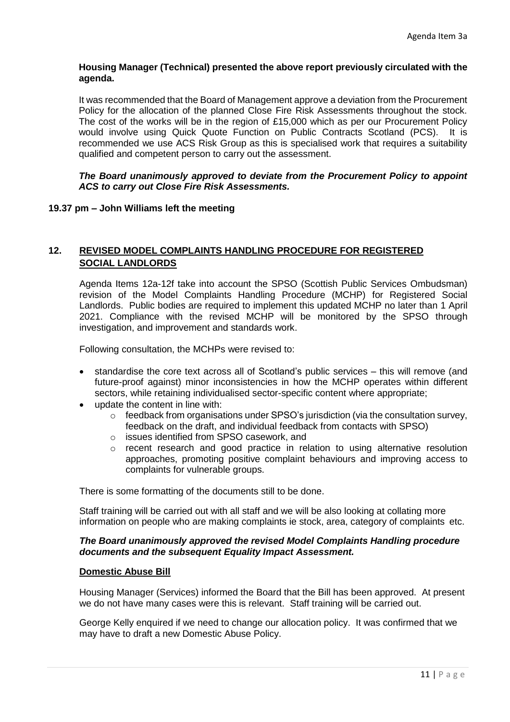## **Housing Manager (Technical) presented the above report previously circulated with the agenda.**

It was recommended that the Board of Management approve a deviation from the Procurement Policy for the allocation of the planned Close Fire Risk Assessments throughout the stock. The cost of the works will be in the region of £15,000 which as per our Procurement Policy would involve using Quick Quote Function on Public Contracts Scotland (PCS). It is recommended we use ACS Risk Group as this is specialised work that requires a suitability qualified and competent person to carry out the assessment.

### *The Board unanimously approved to deviate from the Procurement Policy to appoint ACS to carry out Close Fire Risk Assessments.*

# **19.37 pm – John Williams left the meeting**

# **12. REVISED MODEL COMPLAINTS HANDLING PROCEDURE FOR REGISTERED SOCIAL LANDLORDS**

Agenda Items 12a-12f take into account the SPSO (Scottish Public Services Ombudsman) revision of the Model Complaints Handling Procedure (MCHP) for Registered Social Landlords. Public bodies are required to implement this updated MCHP no later than 1 April 2021. Compliance with the revised MCHP will be monitored by the SPSO through investigation, and improvement and standards work.

Following consultation, the MCHPs were revised to:

- standardise the core text across all of Scotland's public services this will remove (and future-proof against) minor inconsistencies in how the MCHP operates within different sectors, while retaining individualised sector-specific content where appropriate;
- update the content in line with:
	- o feedback from organisations under SPSO's jurisdiction (via the consultation survey, feedback on the draft, and individual feedback from contacts with SPSO)
	- o issues identified from SPSO casework, and
	- $\circ$  recent research and good practice in relation to using alternative resolution approaches, promoting positive complaint behaviours and improving access to complaints for vulnerable groups.

There is some formatting of the documents still to be done.

Staff training will be carried out with all staff and we will be also looking at collating more information on people who are making complaints ie stock, area, category of complaints etc.

## *The Board unanimously approved the revised Model Complaints Handling procedure documents and the subsequent Equality Impact Assessment.*

#### **Domestic Abuse Bill**

Housing Manager (Services) informed the Board that the Bill has been approved. At present we do not have many cases were this is relevant. Staff training will be carried out.

George Kelly enquired if we need to change our allocation policy. It was confirmed that we may have to draft a new Domestic Abuse Policy.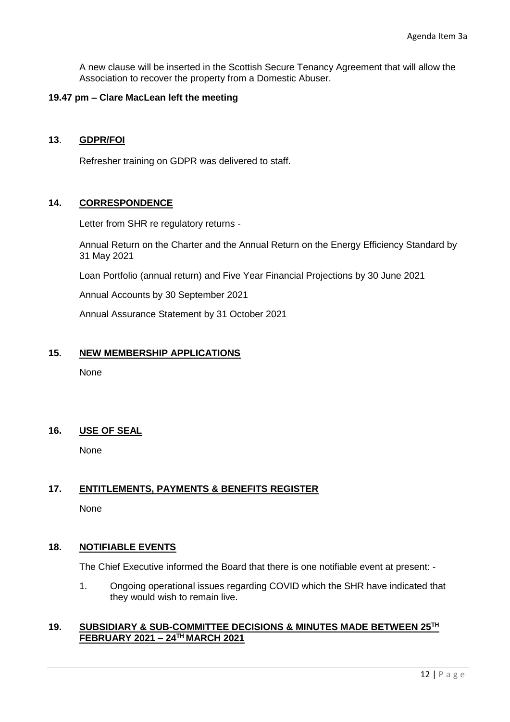A new clause will be inserted in the Scottish Secure Tenancy Agreement that will allow the Association to recover the property from a Domestic Abuser.

## **19.47 pm – Clare MacLean left the meeting**

### **13**. **GDPR/FOI**

Refresher training on GDPR was delivered to staff.

## **14. CORRESPONDENCE**

Letter from SHR re regulatory returns -

Annual Return on the Charter and the Annual Return on the Energy Efficiency Standard by 31 May 2021

Loan Portfolio (annual return) and Five Year Financial Projections by 30 June 2021

Annual Accounts by 30 September 2021

Annual Assurance Statement by 31 October 2021

## **15. NEW MEMBERSHIP APPLICATIONS**

None

## **16. USE OF SEAL**

None

## **17. ENTITLEMENTS, PAYMENTS & BENEFITS REGISTER**

None

## **18. NOTIFIABLE EVENTS**

The Chief Executive informed the Board that there is one notifiable event at present: -

1. Ongoing operational issues regarding COVID which the SHR have indicated that they would wish to remain live.

## **19. SUBSIDIARY & SUB-COMMITTEE DECISIONS & MINUTES MADE BETWEEN 25TH FEBRUARY 2021 – 24TH MARCH 2021**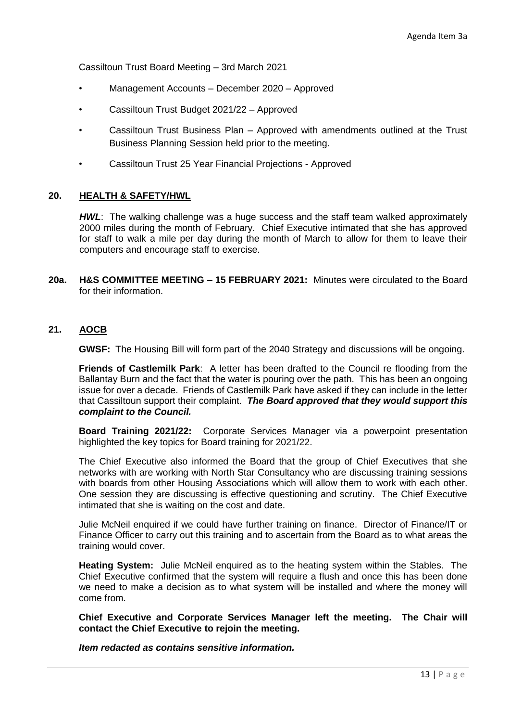Cassiltoun Trust Board Meeting – 3rd March 2021

- Management Accounts December 2020 Approved
- Cassiltoun Trust Budget 2021/22 Approved
- Cassiltoun Trust Business Plan Approved with amendments outlined at the Trust Business Planning Session held prior to the meeting.
- Cassiltoun Trust 25 Year Financial Projections Approved

## **20. HEALTH & SAFETY/HWL**

*HWL*: The walking challenge was a huge success and the staff team walked approximately 2000 miles during the month of February. Chief Executive intimated that she has approved for staff to walk a mile per day during the month of March to allow for them to leave their computers and encourage staff to exercise.

**20a. H&S COMMITTEE MEETING – 15 FEBRUARY 2021:** Minutes were circulated to the Board for their information.

### **21. AOCB**

**GWSF:** The Housing Bill will form part of the 2040 Strategy and discussions will be ongoing.

**Friends of Castlemilk Park**: A letter has been drafted to the Council re flooding from the Ballantay Burn and the fact that the water is pouring over the path. This has been an ongoing issue for over a decade. Friends of Castlemilk Park have asked if they can include in the letter that Cassiltoun support their complaint. *The Board approved that they would support this complaint to the Council.*

**Board Training 2021/22:** Corporate Services Manager via a powerpoint presentation highlighted the key topics for Board training for 2021/22.

The Chief Executive also informed the Board that the group of Chief Executives that she networks with are working with North Star Consultancy who are discussing training sessions with boards from other Housing Associations which will allow them to work with each other. One session they are discussing is effective questioning and scrutiny. The Chief Executive intimated that she is waiting on the cost and date.

Julie McNeil enquired if we could have further training on finance. Director of Finance/IT or Finance Officer to carry out this training and to ascertain from the Board as to what areas the training would cover.

**Heating System:** Julie McNeil enquired as to the heating system within the Stables. The Chief Executive confirmed that the system will require a flush and once this has been done we need to make a decision as to what system will be installed and where the money will come from.

**Chief Executive and Corporate Services Manager left the meeting. The Chair will contact the Chief Executive to rejoin the meeting.**

*Item redacted as contains sensitive information.*